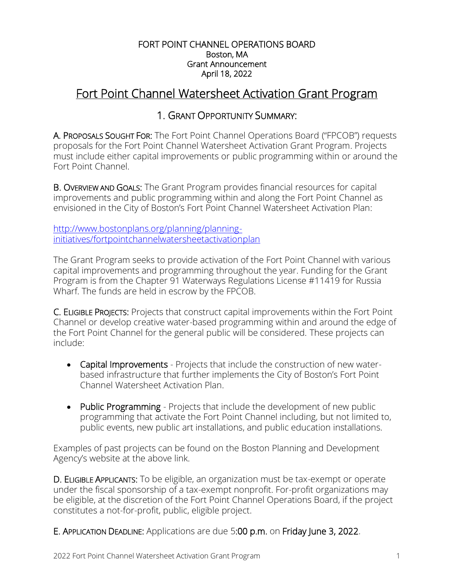#### FORT POINT CHANNEL OPERATIONS BOARD Boston, MA Grant Announcement April 18, 2022

### Fort Point Channel Watersheet Activation Grant Program

#### 1. GRANT OPPORTUNITY SUMMARY:

A. PROPOSALS SOUGHT FOR: The Fort Point Channel Operations Board ("FPCOB") requests proposals for the Fort Point Channel Watersheet Activation Grant Program. Projects must include either capital improvements or public programming within or around the Fort Point Channel.

B. OVERVIEW AND GOALS: The Grant Program provides financial resources for capital improvements and public programming within and along the Fort Point Channel as envisioned in the [City of Boston's Fort Point Channel Watersheet Activation Plan](http://bostonredevelopmentauthority.org/pdf/PlanningPublications/Fort%20Point%20Channel%20WAP.pdf):

[http://www.bostonplans.org/planning/planning](http://www.bostonplans.org/planning/planning-initiatives/fortpointchannelwatersheetactivationplan)[initiatives/fortpointchannelwatersheetactivationplan](http://www.bostonplans.org/planning/planning-initiatives/fortpointchannelwatersheetactivationplan)

The Grant Program seeks to provide activation of the Fort Point Channel with various capital improvements and programming throughout the year. Funding for the Grant Program is from the Chapter 91 Waterways Regulations License #11419 for Russia Wharf. The funds are held in escrow by the FPCOB.

C. ELIGIBLE PROJECTS: Projects that construct capital improvements within the Fort Point Channel or develop creative water-based programming within and around the edge of the Fort Point Channel for the general public will be considered. These projects can include:

- Capital Improvements Projects that include the construction of new waterbased infrastructure that further implements the City of Boston's Fort Point Channel Watersheet Activation Plan.
- Public Programming Projects that include the development of new public programming that activate the Fort Point Channel including, but not limited to, public events, new public art installations, and public education installations.

Examples of past projects can be found on the Boston Planning and Development Agency's website at the above link.

D. ELIGIBLE APPLICANTS: To be eligible, an organization must be tax-exempt or operate under the fiscal sponsorship of a tax-exempt nonprofit. For-profit organizations may be eligible, at the discretion of the Fort Point Channel Operations Board, if the project constitutes a not-for-profit, public, eligible project.

E. APPLICATION DEADLINE: Applications are due 5:00 p.m. on Friday June 3, 2022.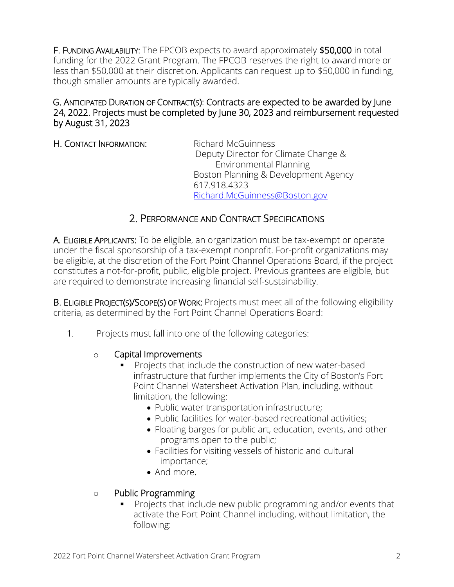F. FUNDING AVAILABILITY: The FPCOB expects to award approximately \$50,000 in total funding for the 2022 Grant Program. The FPCOB reserves the right to award more or less than \$50,000 at their discretion. Applicants can request up to \$50,000 in funding, though smaller amounts are typically awarded.

#### G. ANTICIPATED DURATION OF CONTRACT(S): Contracts are expected to be awarded by June 24, 2022. Projects must be completed by June 30, 2023 and reimbursement requested by August 31, 2023

H. CONTACT INFORMATION: Richard McGuinness

 Deputy Director for Climate Change & Environmental Planning Boston Planning & Development Agency 617.918.4323 [Richard.McGuinness@Boston.gov](mailto:Richard.McGuinness@Boston.gov)

#### 2. PERFORMANCE AND CONTRACT SPECIFICATIONS

A. ELIGIBLE APPLICANTS: To be eligible, an organization must be tax-exempt or operate under the fiscal sponsorship of a tax-exempt nonprofit. For-profit organizations may be eligible, at the discretion of the Fort Point Channel Operations Board, if the project constitutes a not-for-profit, public, eligible project. Previous grantees are eligible, but are required to demonstrate increasing financial self-sustainability.

B. ELIGIBLE PROJECT(S)/SCOPE(S) OF WORK: Projects must meet all of the following eligibility criteria, as determined by the Fort Point Channel Operations Board:

1. Projects must fall into one of the following categories:

#### o Capital Improvements

- Projects that include the construction of new water-based infrastructure that further implements the City of Boston's Fort Point Channel Watersheet Activation Plan, including, without limitation, the following:
	- Public water transportation infrastructure;
	- Public facilities for water-based recreational activities;
	- Floating barges for public art, education, events, and other programs open to the public;
	- Facilities for visiting vessels of historic and cultural importance;
	- And more

#### o Public Programming

▪ Projects that include new public programming and/or events that activate the Fort Point Channel including, without limitation, the following: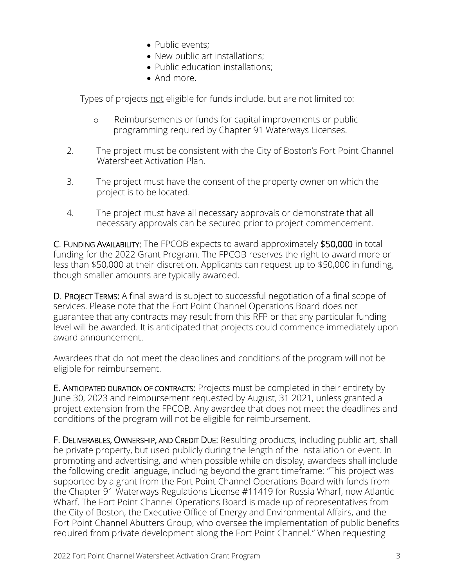- Public events:
- New public art installations;
- Public education installations;
- And more.

Types of projects not eligible for funds include, but are not limited to:

- o Reimbursements or funds for capital improvements or public programming required by Chapter 91 Waterways Licenses.
- 2. The project must be consistent with the City of Boston's Fort Point Channel Watersheet Activation Plan.
- 3. The project must have the consent of the property owner on which the project is to be located.
- 4. The project must have all necessary approvals or demonstrate that all necessary approvals can be secured prior to project commencement.

C. FUNDING AVAILABILITY: The FPCOB expects to award approximately \$50,000 in total funding for the 2022 Grant Program. The FPCOB reserves the right to award more or less than \$50,000 at their discretion. Applicants can request up to \$50,000 in funding, though smaller amounts are typically awarded.

D. PROJECT TERMS: A final award is subject to successful negotiation of a final scope of services. Please note that the Fort Point Channel Operations Board does not guarantee that any contracts may result from this RFP or that any particular funding level will be awarded. It is anticipated that projects could commence immediately upon award announcement.

Awardees that do not meet the deadlines and conditions of the program will not be eligible for reimbursement.

E. ANTICIPATED DURATION OF CONTRACTS: Projects must be completed in their entirety by June 30, 2023 and reimbursement requested by August, 31 2021, unless granted a project extension from the FPCOB. Any awardee that does not meet the deadlines and conditions of the program will not be eligible for reimbursement.

F. DELIVERABLES, OWNERSHIP, AND CREDIT DUE: Resulting products, including public art, shall be private property, but used publicly during the length of the installation or event. In promoting and advertising, and when possible while on display, awardees shall include the following credit language, including beyond the grant timeframe: "This project was supported by a grant from the Fort Point Channel Operations Board with funds from the Chapter 91 Waterways Regulations License #11419 for Russia Wharf, now Atlantic Wharf. The Fort Point Channel Operations Board is made up of representatives from the City of Boston, the Executive Office of Energy and Environmental Affairs, and the Fort Point Channel Abutters Group, who oversee the implementation of public benefits required from private development along the Fort Point Channel." When requesting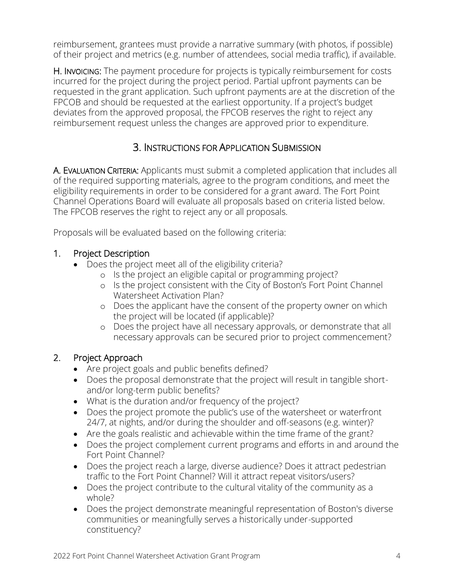reimbursement, grantees must provide a narrative summary (with photos, if possible) of their project and metrics (e.g. number of attendees, social media traffic), if available.

H. INVOICING: The payment procedure for projects is typically reimbursement for costs incurred for the project during the project period. Partial upfront payments can be requested in the grant application. Such upfront payments are at the discretion of the FPCOB and should be requested at the earliest opportunity. If a project's budget deviates from the approved proposal, the FPCOB reserves the right to reject any reimbursement request unless the changes are approved prior to expenditure.

### 3. INSTRUCTIONS FOR APPLICATION SUBMISSION

A. EVALUATION CRITERIA: Applicants must submit a completed application that includes all of the required supporting materials, agree to the program conditions, and meet the eligibility requirements in order to be considered for a grant award. The Fort Point Channel Operations Board will evaluate all proposals based on criteria listed below. The FPCOB reserves the right to reject any or all proposals.

Proposals will be evaluated based on the following criteria:

#### 1. Project Description

- Does the project meet all of the eligibility criteria?
	- o Is the project an eligible capital or programming project?
	- o Is the project consistent with the City of Boston's Fort Point Channel Watersheet Activation Plan?
	- o Does the applicant have the consent of the property owner on which the project will be located (if applicable)?
	- o Does the project have all necessary approvals, or demonstrate that all necessary approvals can be secured prior to project commencement?

#### 2. Project Approach

- Are project goals and public benefits defined?
- Does the proposal demonstrate that the project will result in tangible shortand/or long-term public benefits?
- What is the duration and/or frequency of the project?
- Does the project promote the public's use of the watersheet or waterfront 24/7, at nights, and/or during the shoulder and off-seasons (e.g. winter)?
- Are the goals realistic and achievable within the time frame of the grant?
- Does the project complement current programs and efforts in and around the Fort Point Channel?
- Does the project reach a large, diverse audience? Does it attract pedestrian traffic to the Fort Point Channel? Will it attract repeat visitors/users?
- Does the project contribute to the cultural vitality of the community as a whole?
- Does the project demonstrate meaningful representation of Boston's diverse communities or meaningfully serves a historically under-supported constituency?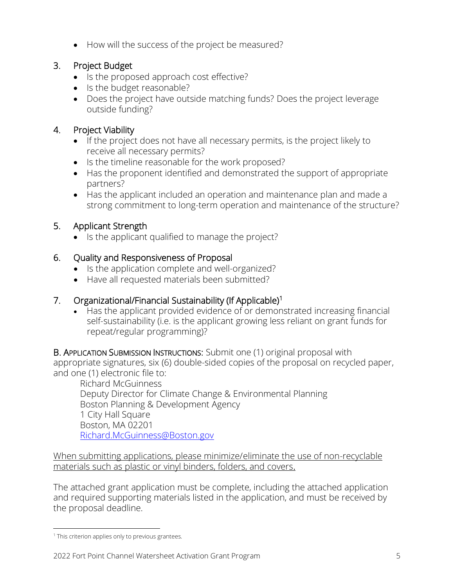• How will the success of the project be measured?

#### 3. Project Budget

- Is the proposed approach cost effective?
- Is the budget reasonable?
- Does the project have outside matching funds? Does the project leverage outside funding?

#### 4. Project Viability

- If the project does not have all necessary permits, is the project likely to receive all necessary permits?
- Is the timeline reasonable for the work proposed?
- Has the proponent identified and demonstrated the support of appropriate partners?
- Has the applicant included an operation and maintenance plan and made a strong commitment to long-term operation and maintenance of the structure?

#### 5. Applicant Strength

• Is the applicant qualified to manage the project?

#### 6. Quality and Responsiveness of Proposal

- Is the application complete and well-organized?
- Have all requested materials been submitted?

#### 7. Organizational/Financial Sustainability (If Applicable)<sup>1</sup>

• Has the applicant provided evidence of or demonstrated increasing financial self-sustainability (i.e. is the applicant growing less reliant on grant funds for repeat/regular programming)?

B. APPLICATION SUBMISSION INSTRUCTIONS: Submit one (1) original proposal with appropriate signatures, six (6) double-sided copies of the proposal on recycled paper, and one (1) electronic file to:

Richard McGuinness Deputy Director for Climate Change & Environmental Planning Boston Planning & Development Agency 1 City Hall Square Boston, MA 02201 [Richard.McGuinness@Boston.gov](mailto:Richard.McGuinness@Boston.gov)

When submitting applications, please minimize/eliminate the use of non-recyclable materials such as plastic or vinyl binders, folders, and covers.

The attached grant application must be complete, including the attached application and required supporting materials listed in the application, and must be received by the proposal deadline.

<sup>&</sup>lt;sup>1</sup> This criterion applies only to previous grantees.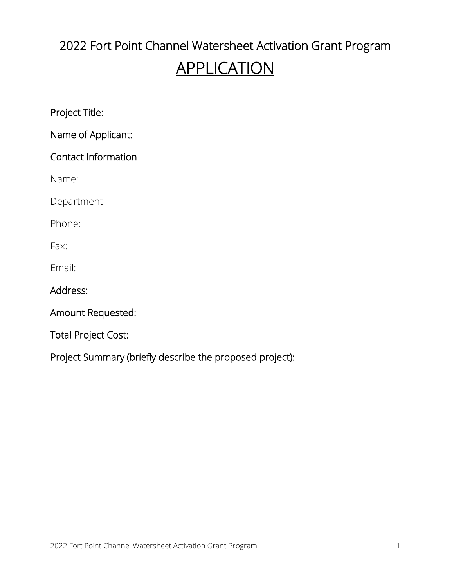# 2022 Fort Point Channel Watersheet Activation Grant Program

## APPLICATION

Project Title:

Name of Applicant:

### Contact Information

Name:

Department:

Phone:

Fax:

Email:

Address:

Amount Requested:

Total Project Cost:

Project Summary (briefly describe the proposed project):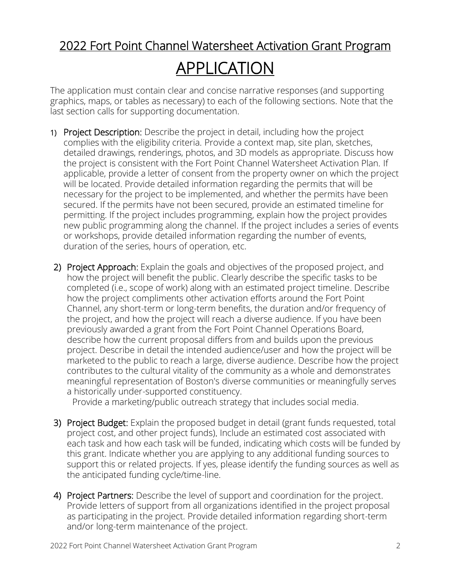# 2022 Fort Point Channel Watersheet Activation Grant Program APPLICATION

The application must contain clear and concise narrative responses (and supporting graphics, maps, or tables as necessary) to each of the following sections. Note that the last section calls for supporting documentation.

- 1) Project Description: Describe the project in detail, including how the project complies with the eligibility criteria. Provide a context map, site plan, sketches, detailed drawings, renderings, photos, and 3D models as appropriate. Discuss how the project is consistent with the Fort Point Channel Watersheet Activation Plan. If applicable, provide a letter of consent from the property owner on which the project will be located. Provide detailed information regarding the permits that will be necessary for the project to be implemented, and whether the permits have been secured. If the permits have not been secured, provide an estimated timeline for permitting. If the project includes programming, explain how the project provides new public programming along the channel. If the project includes a series of events or workshops, provide detailed information regarding the number of events, duration of the series, hours of operation, etc.
- 2) Project Approach: Explain the goals and objectives of the proposed project, and how the project will benefit the public. Clearly describe the specific tasks to be completed (i.e., scope of work) along with an estimated project timeline. Describe how the project compliments other activation efforts around the Fort Point Channel, any short-term or long-term benefits, the duration and/or frequency of the project, and how the project will reach a diverse audience. If you have been previously awarded a grant from the Fort Point Channel Operations Board, describe how the current proposal differs from and builds upon the previous project. Describe in detail the intended audience/user and how the project will be marketed to the public to reach a large, diverse audience. Describe how the project contributes to the cultural vitality of the community as a whole and demonstrates meaningful representation of Boston's diverse communities or meaningfully serves a historically under-supported constituency.

Provide a marketing/public outreach strategy that includes social media.

- 3) Project Budget: Explain the proposed budget in detail (grant funds requested, total project cost, and other project funds). Include an estimated cost associated with each task and how each task will be funded, indicating which costs will be funded by this grant. Indicate whether you are applying to any additional funding sources to support this or related projects. If yes, please identify the funding sources as well as the anticipated funding cycle/time-line.
- 4) Project Partners: Describe the level of support and coordination for the project. Provide letters of support from all organizations identified in the project proposal as participating in the project. Provide detailed information regarding short-term and/or long-term maintenance of the project.